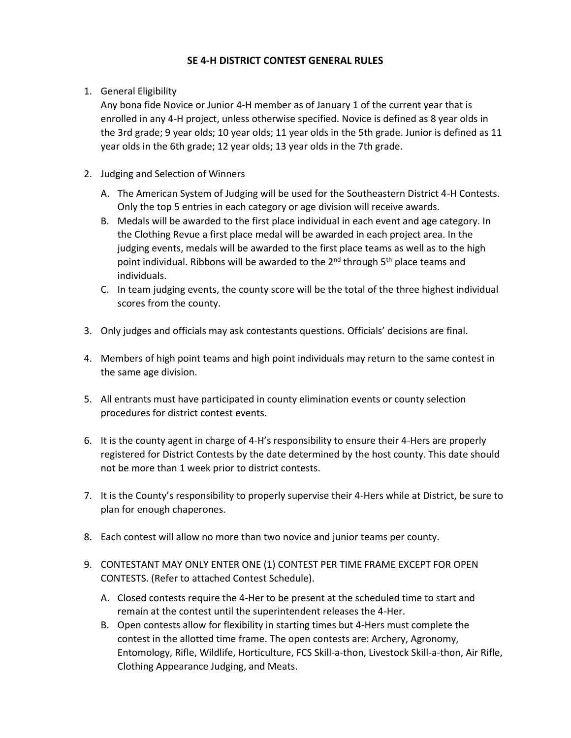# **SE 4-H DISTRICT CONTEST GENERAL RULES**

1. General Eligibility

Any bona fide Novice or Junior 4-H member as of January 1 of the current year that is enrolled in any 4-H project, unless otherwise specified. Novice is defined as 8 year olds in the 3rd grade; 9 year olds; 10 year olds; 11 year olds in the 5th grade. Junior is defined as 11 year olds in the 6th grade; 12 year olds; 13 year olds in the 7th grade.

- 2. Judging and Selection of Winners
	- A. The American System of Judging will be used for the Southeastern District 4-H Contests. Only the top 5 entries in each category or age division will receive awards.
	- B. Medals will be awarded to the first place individual in each event and age category. In the Clothing Revue a first place medal will be awarded in each project area. In the judging events, medals will be awarded to the first place teams as well as to the high point individual. Ribbons will be awarded to the  $2^{nd}$  through  $5^{th}$  place teams and individuals.
	- C. In team judging events, the county score will be the total of the three highest individual scores from the county.
- 3. Only judges and officials may ask contestants questions. Officials' decisions are final.
- 4. Members of high point teams and high point individuals may return to the same contest in the same age division.
- 5. All entrants must have participated in county elimination events or county selection procedures for district contest events.
- 6. It is the county agent in charge of 4-H's responsibility to ensure their 4-Hers are properly registered for District Contests by the date determined by the host county. This date should not be more than 1 week prior to district contests.
- 7. It is the County's responsibility to properly supervise their 4-Hers while at District, be sure to plan for enough chaperones.
- 8. Each contest will allow no more than two novice and junior teams per county.
- 9. CONTESTANT MAY ONLY ENTER ONE (1) CONTEST PER TIME FRAME EXCEPT FOR OPEN CONTESTS. (Refer to attached Contest Schedule).
	- A. Closed contests require the 4-Her to be present at the scheduled time to start and remain at the contest until the superintendent releases the 4-Her.
	- B. Open contests allow for flexibility in starting times but 4-Hers must complete the contest in the allotted time frame. The open contests are: Archery, Agronomy, Entomology, Rifle, Wildlife, Horticulture, FCS Skill-a-thon, Livestock Skill-a-thon, Air Rifle, Clothing Appearance Judging, and Meats.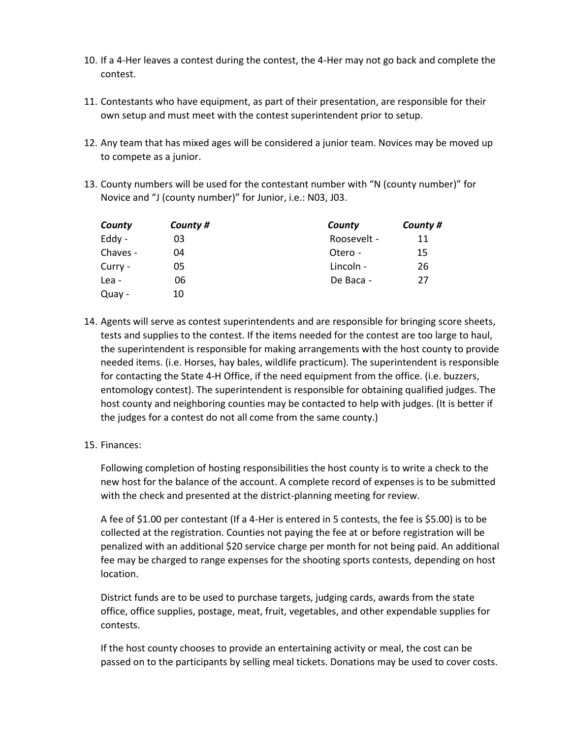- 10. If a 4-Her leaves a contest during the contest, the 4-Her may not go back and complete the contest.
- 11. Contestants who have equipment, as part of their presentation, are responsible for their own setup and must meet with the contest superintendent prior to setup.
- 12. Any team that has mixed ages will be considered a junior team. Novices may be moved up to compete as a junior.
- 13. County numbers will be used for the contestant number with "N (county number)" for Novice and "J (county number)" for Junior, i.e.: N03, J03.

| County   | County # | County      | County # |
|----------|----------|-------------|----------|
| Eddy -   | 03       | Roosevelt - | 11       |
| Chaves - | 04       | Otero -     | 15       |
| Curry -  | 05       | Lincoln -   | 26       |
| Lea -    | 06       | De Baca -   | 27       |
| Quay -   | 10       |             |          |

- 14. Agents will serve as contest superintendents and are responsible for bringing score sheets, tests and supplies to the contest. If the items needed for the contest are too large to haul, the superintendent is responsible for making arrangements with the host county to provide needed items. (i.e. Horses, hay bales, wildlife practicum). The superintendent is responsible for contacting the State 4-H Office, if the need equipment from the office. (i.e. buzzers, entomology contest). The superintendent is responsible for obtaining qualified judges. The host county and neighboring counties may be contacted to help with judges. (It is better if the judges for a contest do not all come from the same county.)
- 15. Finances:

Following completion of hosting responsibilities the host county is to write a check to the new host for the balance of the account. A complete record of expenses is to be submitted with the check and presented at the district-planning meeting for review.

A fee of \$1.00 per contestant (If a 4-Her is entered in 5 contests, the fee is \$5.00) is to be collected at the registration. Counties not paying the fee at or before registration will be penalized with an additional \$20 service charge per month for not being paid. An additional fee may be charged to range expenses for the shooting sports contests, depending on host location.

District funds are to be used to purchase targets, judging cards, awards from the state office, office supplies, postage, meat, fruit, vegetables, and other expendable supplies for contests.

If the host county chooses to provide an entertaining activity or meal, the cost can be passed on to the participants by selling meal tickets. Donations may be used to cover costs.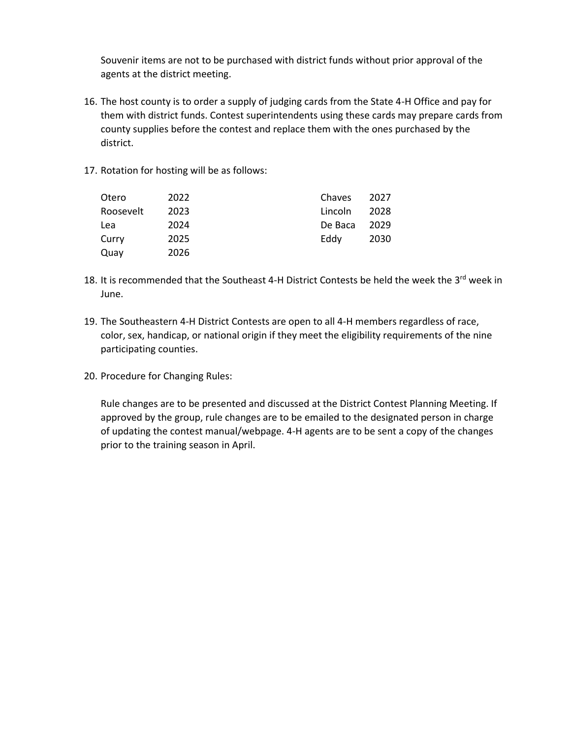Souvenir items are not to be purchased with district funds without prior approval of the agents at the district meeting.

- 16. The host county is to order a supply of judging cards from the State 4-H Office and pay for them with district funds. Contest superintendents using these cards may prepare cards from county supplies before the contest and replace them with the ones purchased by the district.
- 17. Rotation for hosting will be as follows:

| Otero     | 2022 | Chaves  | 2027 |
|-----------|------|---------|------|
| Roosevelt | 2023 | Lincoln | 2028 |
| Lea       | 2024 | De Baca | 2029 |
| Curry     | 2025 | Eddy    | 2030 |
| Quay      | 2026 |         |      |

- 18. It is recommended that the Southeast 4-H District Contests be held the week the  $3^{rd}$  week in June.
- 19. The Southeastern 4-H District Contests are open to all 4-H members regardless of race, color, sex, handicap, or national origin if they meet the eligibility requirements of the nine participating counties.
- 20. Procedure for Changing Rules:

Rule changes are to be presented and discussed at the District Contest Planning Meeting. If approved by the group, rule changes are to be emailed to the designated person in charge of updating the contest manual/webpage. 4-H agents are to be sent a copy of the changes prior to the training season in April.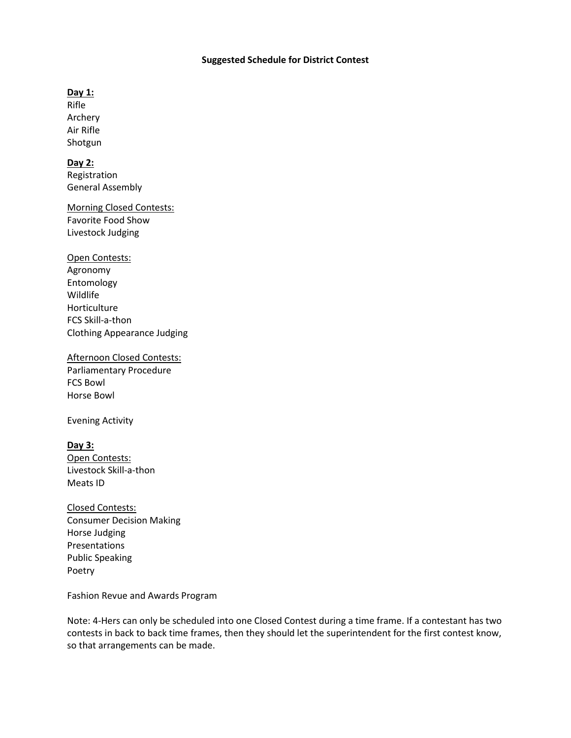### **Suggested Schedule for District Contest**

## **Day 1:**

Rifle Archery Air Rifle Shotgun

## **Day 2:**

Registration General Assembly

Morning Closed Contests: Favorite Food Show Livestock Judging

Open Contests: Agronomy Entomology Wildlife Horticulture FCS Skill-a-thon Clothing Appearance Judging

Afternoon Closed Contests: Parliamentary Procedure FCS Bowl Horse Bowl

Evening Activity

**Day 3:** Open Contests: Livestock Skill-a-thon Meats ID

Closed Contests: Consumer Decision Making Horse Judging Presentations Public Speaking Poetry

Fashion Revue and Awards Program

Note: 4-Hers can only be scheduled into one Closed Contest during a time frame. If a contestant has two contests in back to back time frames, then they should let the superintendent for the first contest know, so that arrangements can be made.